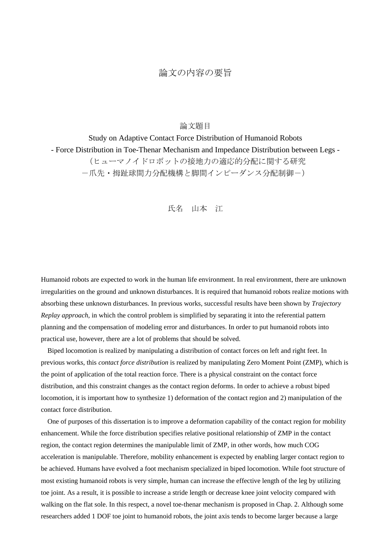## 論文の内容の要旨

## 論文題目

Study on Adaptive Contact Force Distribution of Humanoid Robots - Force Distribution in Toe-Thenar Mechanism and Impedance Distribution between Legs - (ヒューマノイドロボットの接地力の適応的分配に関する研究 -爪先・拇趾球間力分配機構と脚間インピーダンス分配制御-)

## 氏名 山本 江

Humanoid robots are expected to work in the human life environment. In real environment, there are unknown irregularities on the ground and unknown disturbances. It is required that humanoid robots realize motions with absorbing these unknown disturbances. In previous works, successful results have been shown by *Trajectory Replay approach*, in which the control problem is simplified by separating it into the referential pattern planning and the compensation of modeling error and disturbances. In order to put humanoid robots into practical use, however, there are a lot of problems that should be solved.

Biped locomotion is realized by manipulating a distribution of contact forces on left and right feet. In previous works, this *contact force distribution* is realized by manipulating Zero Moment Point (ZMP), which is the point of application of the total reaction force. There is a physical constraint on the contact force distribution, and this constraint changes as the contact region deforms. In order to achieve a robust biped locomotion, it is important how to synthesize 1) deformation of the contact region and 2) manipulation of the contact force distribution.

One of purposes of this dissertation is to improve a deformation capability of the contact region for mobility enhancement. While the force distribution specifies relative positional relationship of ZMP in the contact region, the contact region determines the manipulable limit of ZMP, in other words, how much COG acceleration is manipulable. Therefore, mobility enhancement is expected by enabling larger contact region to be achieved. Humans have evolved a foot mechanism specialized in biped locomotion. While foot structure of most existing humanoid robots is very simple, human can increase the effective length of the leg by utilizing toe joint. As a result, it is possible to increase a stride length or decrease knee joint velocity compared with walking on the flat sole. In this respect, a novel toe-thenar mechanism is proposed in Chap. 2. Although some researchers added 1 DOF toe joint to humanoid robots, the joint axis tends to become larger because a large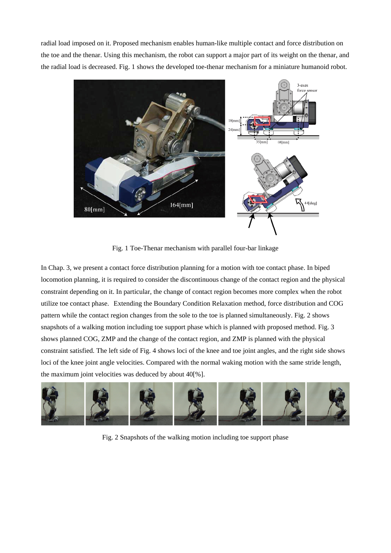radial load imposed on it. Proposed mechanism enables human-like multiple contact and force distribution on the toe and the thenar. Using this mechanism, the robot can support a major part of its weight on the thenar, and the radial load is decreased. Fig. 1 shows the developed toe-thenar mechanism for a miniature humanoid robot.



Fig. 1 Toe-Thenar mechanism with parallel four-bar linkage

In Chap. 3, we present a contact force distribution planning for a motion with toe contact phase. In biped locomotion planning, it is required to consider the discontinuous change of the contact region and the physical constraint depending on it. In particular, the change of contact region becomes more complex when the robot utilize toe contact phase. Extending the Boundary Condition Relaxation method, force distribution and COG pattern while the contact region changes from the sole to the toe is planned simultaneously. Fig. 2 shows snapshots of a walking motion including toe support phase which is planned with proposed method. Fig. 3 shows planned COG, ZMP and the change of the contact region, and ZMP is planned with the physical constraint satisfied. The left side of Fig. 4 shows loci of the knee and toe joint angles, and the right side shows loci of the knee joint angle velocities. Compared with the normal waking motion with the same stride length, the maximum joint velocities was deduced by about 40[%].



Fig. 2 Snapshots of the walking motion including toe support phase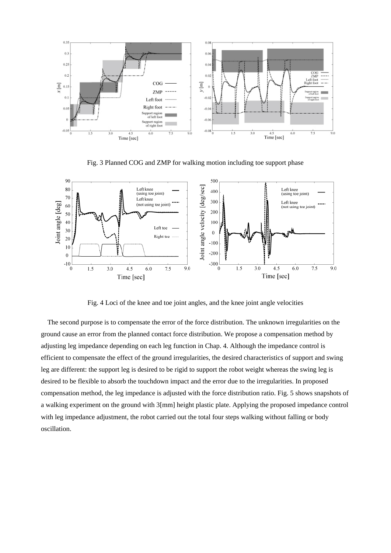

Fig. 3 Planned COG and ZMP for walking motion including toe support phase



Fig. 4 Loci of the knee and toe joint angles, and the knee joint angle velocities

The second purpose is to compensate the error of the force distribution. The unknown irregularities on the ground cause an error from the planned contact force distribution. We propose a compensation method by adjusting leg impedance depending on each leg function in Chap. 4. Although the impedance control is efficient to compensate the effect of the ground irregularities, the desired characteristics of support and swing leg are different: the support leg is desired to be rigid to support the robot weight whereas the swing leg is desired to be flexible to absorb the touchdown impact and the error due to the irregularities. In proposed compensation method, the leg impedance is adjusted with the force distribution ratio. Fig. 5 shows snapshots of a walking experiment on the ground with 3[mm] height plastic plate. Applying the proposed impedance control with leg impedance adjustment, the robot carried out the total four steps walking without falling or body oscillation.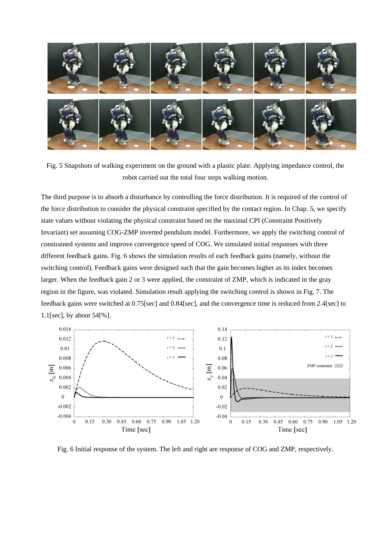

Fig. 5 Snapshots of walking experiment on the ground with a plastic plate. Applying impedance control, the robot carried out the total four steps walking motion.

The third purpose is to absorb a disturbance by controlling the force distribution. It is required of the control of the force distribution to consider the physical constraint specified by the contact region. In Chap. 5, we specify state values without violating the physical constraint based on the maximal CPI (Constraint Positively Invariant) set assuming COG-ZMP inverted pendulum model. Furthermore, we apply the switching control of constrained systems and improve convergence speed of COG. We simulated initial responses with three different feedback gains. Fig. 6 shows the simulation results of each feedback gains (namely, without the switching control). Feedback gains were designed such that the gain becomes higher as its index becomes larger. When the feedback gain 2 or 3 were applied, the constraint of ZMP, which is indicated in the gray region in the figure, was violated. Simulation result applying the switching control is shown in Fig. 7. The feedback gains were switched at 0.75[sec] and 0.84[sec], and the convergence time is reduced from 2.4[sec] to 1.1[sec], by about 54[%].



Fig. 6 Initial response of the system. The left and right are response of COG and ZMP, respectively.